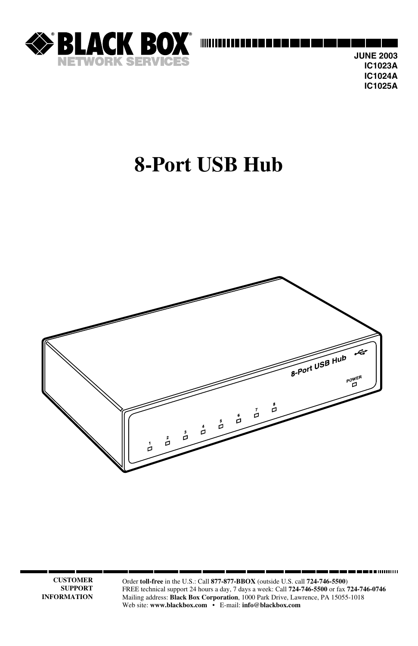

**JUNE 2003 IC1023A IC1024A IC1025A**

. . . . . . . . . . . . .

## **8-Port USB Hub**



**CUSTOMER SUPPORT INFORMATION**

Order **toll-free** in the U.S.: Call **877-877-BBOX** (outside U.S. call **724-746-5500**) FREE technical support 24 hours a day, 7 days a week: Call **724-746-5500** or fax **724-746-0746** Mailing address: **Black Box Corporation**, 1000 Park Drive, Lawrence, PA 15055-1018 Web site: **www.blackbox.com** • E-mail: **info@blackbox.com**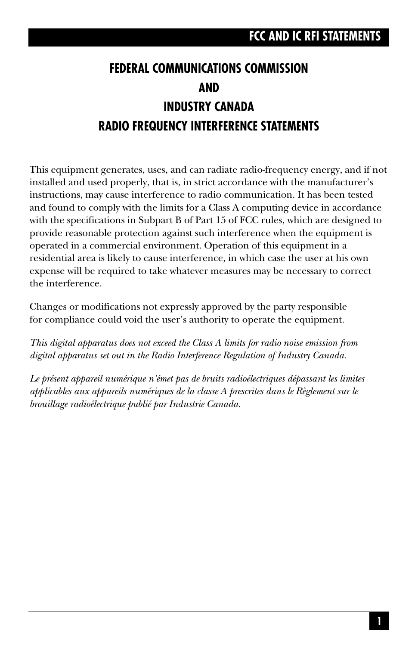## **FEDERAL COMMUNICATIONS COMMISSION AND INDUSTRY CANADA RADIO FREQUENCY INTERFERENCE STATEMENTS**

This equipment generates, uses, and can radiate radio-frequency energy, and if not installed and used properly, that is, in strict accordance with the manufacturer's instructions, may cause interference to radio communication. It has been tested and found to comply with the limits for a Class A computing device in accordance with the specifications in Subpart B of Part 15 of FCC rules, which are designed to provide reasonable protection against such interference when the equipment is operated in a commercial environment. Operation of this equipment in a residential area is likely to cause interference, in which case the user at his own expense will be required to take whatever measures may be necessary to correct the interference.

Changes or modifications not expressly approved by the party responsible for compliance could void the user's authority to operate the equipment.

*This digital apparatus does not exceed the Class A limits for radio noise emission from digital apparatus set out in the Radio Interference Regulation of Industry Canada.*

*Le présent appareil numérique n'émet pas de bruits radioélectriques dépassant les limites applicables aux appareils numériques de la classe A prescrites dans le Règlement sur le brouillage radioélectrique publié par Industrie Canada.*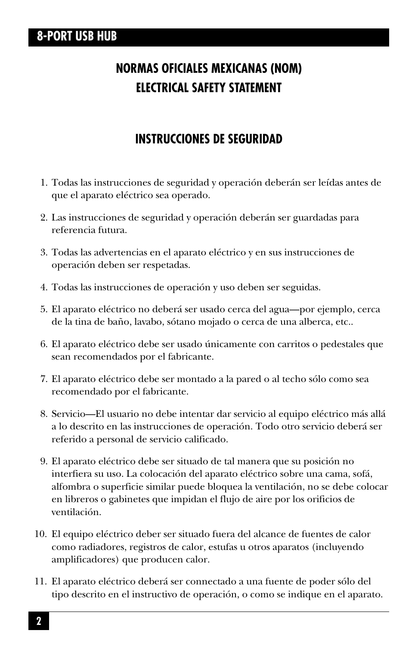## **NORMAS OFICIALES MEXICANAS (NOM) ELECTRICAL SAFETY STATEMENT**

### **INSTRUCCIONES DE SEGURIDAD**

- 1. Todas las instrucciones de seguridad y operación deberán ser leídas antes de que el aparato eléctrico sea operado.
- 2. Las instrucciones de seguridad y operación deberán ser guardadas para referencia futura.
- 3. Todas las advertencias en el aparato eléctrico y en sus instrucciones de operación deben ser respetadas.
- 4. Todas las instrucciones de operación y uso deben ser seguidas.
- 5. El aparato eléctrico no deberá ser usado cerca del agua—por ejemplo, cerca de la tina de baño, lavabo, sótano mojado o cerca de una alberca, etc..
- 6. El aparato eléctrico debe ser usado únicamente con carritos o pedestales que sean recomendados por el fabricante.
- 7. El aparato eléctrico debe ser montado a la pared o al techo sólo como sea recomendado por el fabricante.
- 8. Servicio—El usuario no debe intentar dar servicio al equipo eléctrico más allá a lo descrito en las instrucciones de operación. Todo otro servicio deberá ser referido a personal de servicio calificado.
- 9. El aparato eléctrico debe ser situado de tal manera que su posición no interfiera su uso. La colocación del aparato eléctrico sobre una cama, sofá, alfombra o superficie similar puede bloquea la ventilación, no se debe colocar en libreros o gabinetes que impidan el flujo de aire por los orificios de ventilación.
- 10. El equipo eléctrico deber ser situado fuera del alcance de fuentes de calor como radiadores, registros de calor, estufas u otros aparatos (incluyendo amplificadores) que producen calor.
- 11. El aparato eléctrico deberá ser connectado a una fuente de poder sólo del tipo descrito en el instructivo de operación, o como se indique en el aparato.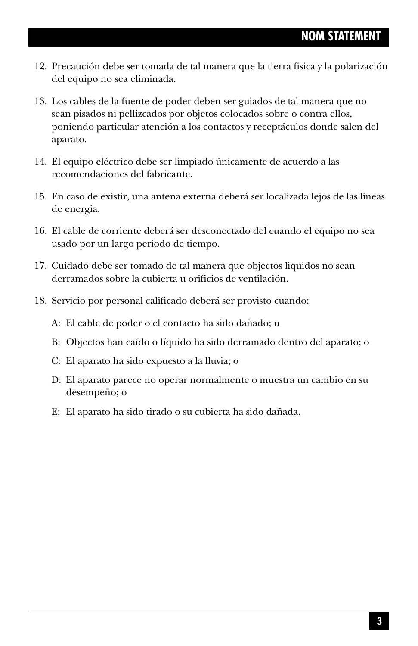- 12. Precaución debe ser tomada de tal manera que la tierra fisica y la polarización del equipo no sea eliminada.
- 13. Los cables de la fuente de poder deben ser guiados de tal manera que no sean pisados ni pellizcados por objetos colocados sobre o contra ellos, poniendo particular atención a los contactos y receptáculos donde salen del aparato.
- 14. El equipo eléctrico debe ser limpiado únicamente de acuerdo a las recomendaciones del fabricante.
- 15. En caso de existir, una antena externa deberá ser localizada lejos de las lineas de energia.
- 16. El cable de corriente deberá ser desconectado del cuando el equipo no sea usado por un largo periodo de tiempo.
- 17. Cuidado debe ser tomado de tal manera que objectos liquidos no sean derramados sobre la cubierta u orificios de ventilación.
- 18. Servicio por personal calificado deberá ser provisto cuando:
	- A: El cable de poder o el contacto ha sido dañado; u
	- B: Objectos han caído o líquido ha sido derramado dentro del aparato; o
	- C: El aparato ha sido expuesto a la lluvia; o
	- D: El aparato parece no operar normalmente o muestra un cambio en su desempeño; o
	- E: El aparato ha sido tirado o su cubierta ha sido dañada.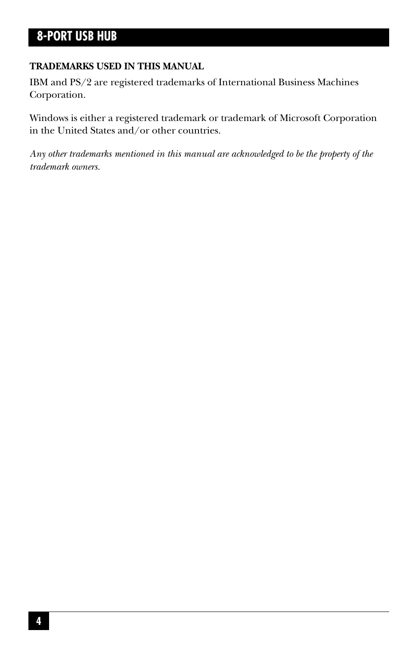#### **TRADEMARKS USED IN THIS MANUAL**

IBM and PS/2 are registered trademarks of International Business Machines Corporation.

Windows is either a registered trademark or trademark of Microsoft Corporation in the United States and/or other countries.

*Any other trademarks mentioned in this manual are acknowledged to be the property of the trademark owners.*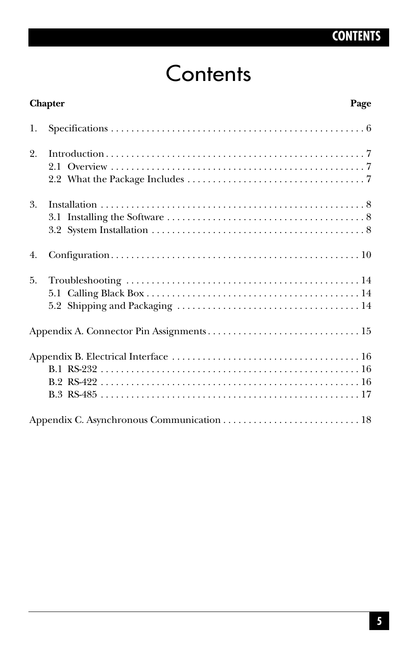## **CONTENTS**

## **Contents**

|    | <b>Chapter</b><br>Page |
|----|------------------------|
| 1. |                        |
| 2. |                        |
| 3. |                        |
| 4. |                        |
| 5. |                        |
|    |                        |
|    |                        |
|    |                        |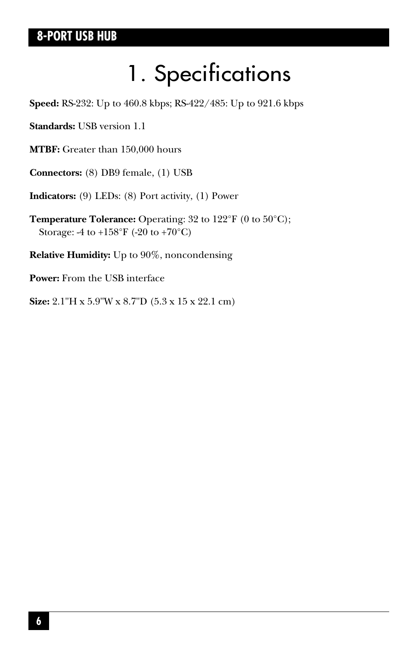# 1. Specifications

**Speed:** RS-232: Up to 460.8 kbps; RS-422/485: Up to 921.6 kbps

**Standards:** USB version 1.1

**MTBF:** Greater than 150,000 hours

**Connectors:** (8) DB9 female, (1) USB

**Indicators:** (9) LEDs: (8) Port activity, (1) Power

**Temperature Tolerance:** Operating: 32 to 122°F (0 to 50°C); Storage: -4 to +158°F (-20 to +70°C)

**Relative Humidity:** Up to 90%, noncondensing

**Power:** From the USB interface

**Size:** 2.1"H x 5.9"W x 8.7"D (5.3 x 15 x 22.1 cm)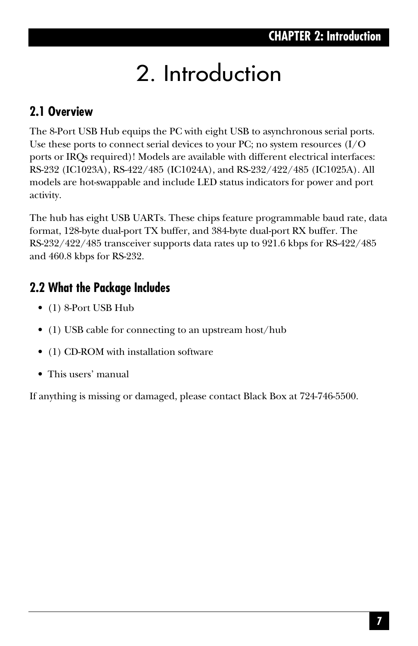# 2. Introduction

## **2.1 Overview**

The 8-Port USB Hub equips the PC with eight USB to asynchronous serial ports. Use these ports to connect serial devices to your PC; no system resources  $(I/O)$ ports or IRQs required)! Models are available with different electrical interfaces: RS-232 (IC1023A), RS-422/485 (IC1024A), and RS-232/422/485 (IC1025A). All models are hot-swappable and include LED status indicators for power and port activity.

The hub has eight USB UARTs. These chips feature programmable baud rate, data format, 128-byte dual-port TX buffer, and 384-byte dual-port RX buffer. The RS-232/422/485 transceiver supports data rates up to 921.6 kbps for RS-422/485 and 460.8 kbps for RS-232.

## **2.2 What the Package Includes**

- (1) 8-Port USB Hub
- (1) USB cable for connecting to an upstream host/hub
- (1) CD-ROM with installation software
- This users' manual

If anything is missing or damaged, please contact Black Box at 724-746-5500.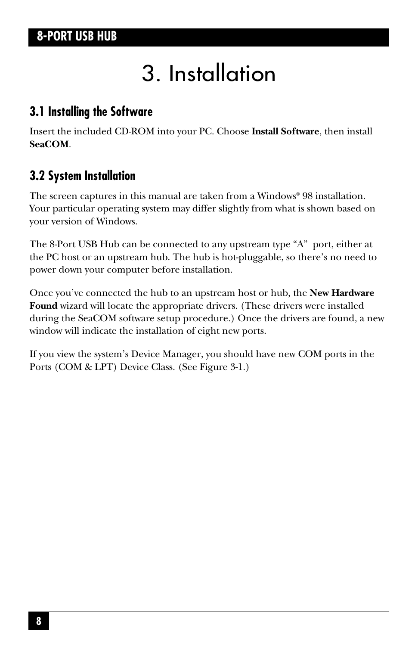# 3. Installation

### **3.1 Installing the Software**

Insert the included CD-ROM into your PC. Choose **Install Software**, then install **SeaCOM**.

### **3.2 System Installation**

The screen captures in this manual are taken from a Windows® 98 installation. Your particular operating system may differ slightly from what is shown based on your version of Windows.

The 8-Port USB Hub can be connected to any upstream type "A" port, either at the PC host or an upstream hub. The hub is hot-pluggable, so there's no need to power down your computer before installation.

Once you've connected the hub to an upstream host or hub, the **New Hardware Found** wizard will locate the appropriate drivers. (These drivers were installed during the SeaCOM software setup procedure.) Once the drivers are found, a new window will indicate the installation of eight new ports.

If you view the system's Device Manager, you should have new COM ports in the Ports (COM & LPT) Device Class. (See Figure 3-1.)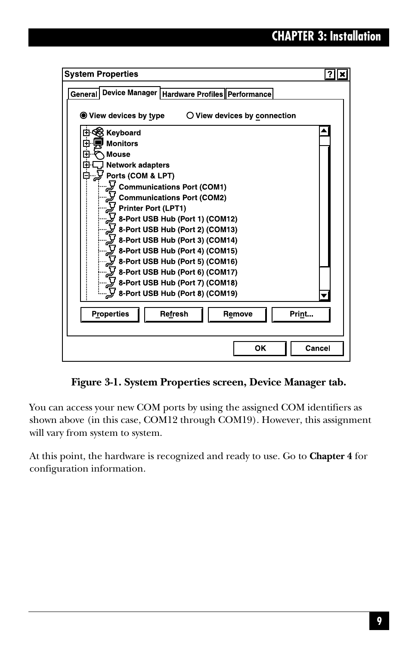| <b>System Properties</b>                                                             |        |
|--------------------------------------------------------------------------------------|--------|
| Device Manager   Hardware Profiles   Performance<br>General                          |        |
|                                                                                      |        |
| $\textcircled{\small\textsf{}}$ View devices by type<br>O View devices by connection |        |
| Keyboard                                                                             |        |
| <b>Monitors</b><br>中中                                                                |        |
| <b>Mouse</b>                                                                         |        |
| 후도<br>후<br><b>Network adapters</b>                                                   |        |
| Ports (COM & LPT)                                                                    |        |
| Communications Port (COM1) کے '                                                      |        |
| Communications Port (COM2)                                                           |        |
| Printer Port (LPT1)                                                                  |        |
| 8-Port USB Hub (Port 1) (COM12)                                                      |        |
| 8-Port USB Hub (Port 2) (COM13)                                                      |        |
| y 8-Port USB Hub (Port 3) (COM14)                                                    |        |
| 8-Port USB Hub (Port 4) (COM15)                                                      |        |
| 8-Port USB Hub (Port 5) (COM16)                                                      |        |
| $\widetilde{L}$ 8-Port USB Hub (Port 6) (COM17)                                      |        |
| 8-Port USB Hub (Port 7) (COM18)<br>8-Port USB Hub (Port 8) (COM19)                   |        |
|                                                                                      |        |
| <b>Properties</b><br>Refresh<br>Remove<br>Print                                      |        |
|                                                                                      |        |
|                                                                                      |        |
| ОΚ                                                                                   | Cancel |
|                                                                                      |        |

**Figure 3-1. System Properties screen, Device Manager tab.**

You can access your new COM ports by using the assigned COM identifiers as shown above (in this case, COM12 through COM19). However, this assignment will vary from system to system.

At this point, the hardware is recognized and ready to use. Go to **Chapter 4** for configuration information.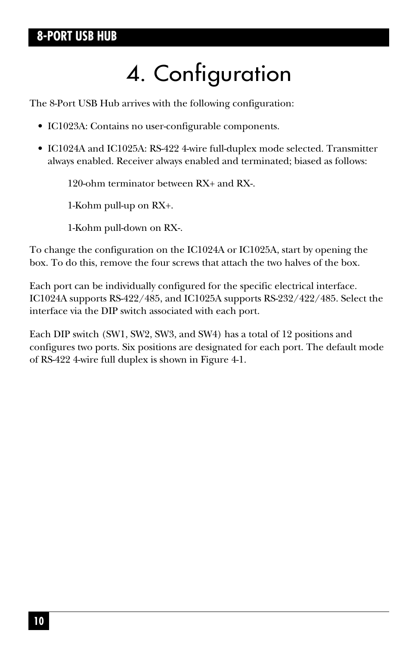# 4. Configuration

The 8-Port USB Hub arrives with the following configuration:

- IC1023A: Contains no user-configurable components.
- IC1024A and IC1025A: RS-422 4-wire full-duplex mode selected. Transmitter always enabled. Receiver always enabled and terminated; biased as follows:

120-ohm terminator between RX+ and RX-.

1-Kohm pull-up on RX+.

1-Kohm pull-down on RX-.

To change the configuration on the IC1024A or IC1025A, start by opening the box. To do this, remove the four screws that attach the two halves of the box.

Each port can be individually configured for the specific electrical interface. IC1024A supports RS-422/485, and IC1025A supports RS-232/422/485. Select the interface via the DIP switch associated with each port.

Each DIP switch (SW1, SW2, SW3, and SW4) has a total of 12 positions and configures two ports. Six positions are designated for each port. The default mode of RS-422 4-wire full duplex is shown in Figure 4-1.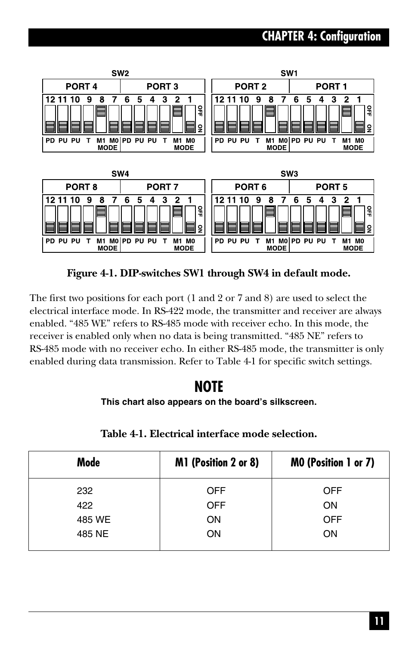## **CHAPTER 4: Configuration**



**Figure 4-1. DIP-switches SW1 through SW4 in default mode.**

The first two positions for each port (1 and 2 or 7 and 8) are used to select the electrical interface mode. In RS-422 mode, the transmitter and receiver are always enabled. "485 WE" refers to RS-485 mode with receiver echo. In this mode, the receiver is enabled only when no data is being transmitted. "485 NE" refers to RS-485 mode with no receiver echo. In either RS-485 mode, the transmitter is only enabled during data transmission. Refer to Table 4-1 for specific switch settings.

### **NOTE**

#### **This chart also appears on the board's silkscreen.**

| Mode   | M1 (Position 2 or 8) | MO (Position 1 or 7) |
|--------|----------------------|----------------------|
| 232    | <b>OFF</b>           | <b>OFF</b>           |
| 422    | <b>OFF</b>           | <b>ON</b>            |
| 485 WE | ON                   | <b>OFF</b>           |
| 485 NE | ON                   | ON                   |
|        |                      |                      |

#### **Table 4-1. Electrical interface mode selection.**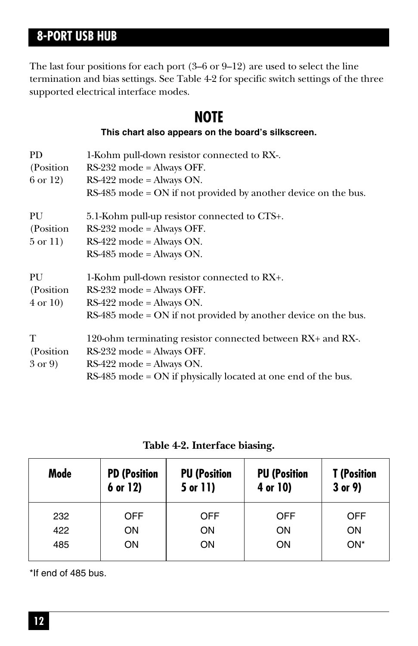The last four positions for each port (3–6 or 9–12) are used to select the line termination and bias settings. See Table 4-2 for specific switch settings of the three supported electrical interface modes.

## **NOTE**

**This chart also appears on the board's silkscreen.**

| PD.<br>(Position)<br>6 or 12)          | 1-Kohm pull-down resistor connected to RX-.<br>$RS-232$ mode = Always OFF.<br>$RS-422$ mode = Always ON.<br>$RS-485$ mode = ON if not provided by another device on the bus.                |
|----------------------------------------|---------------------------------------------------------------------------------------------------------------------------------------------------------------------------------------------|
| PU<br>(Position)<br>$5 \text{ or } 11$ | 5.1-Kohm pull-up resistor connected to CTS+.<br>$RS-232$ mode = Always OFF.<br>$RS-422$ mode = Always ON.<br>$RS-485$ mode = Always ON.                                                     |
| PU<br>(Position)<br>$4 \text{ or } 10$ | 1-Kohm pull-down resistor connected to RX+.<br>$RS-232$ mode = Always OFF.<br>$RS-422$ mode = Always ON.<br>$RS-485$ mode = ON if not provided by another device on the bus.                |
| T<br>(Position)<br>$3 \text{ or } 9$   | 120-ohm terminating resistor connected between RX+ and RX-.<br>$RS-232$ mode = Always OFF.<br>$RS-422$ mode = Always ON.<br>$RS-485$ mode = ON if physically located at one end of the bus. |

**Table 4-2. Interface biasing.**

| Mode | <b>PD (Position</b><br>6 or 12) | <b>PU (Position</b><br>5 or 11) | <b>PU (Position</b><br>4 or 10) | <b>T</b> (Position<br>$3$ or $9$ ) |
|------|---------------------------------|---------------------------------|---------------------------------|------------------------------------|
| 232  | <b>OFF</b>                      | <b>OFF</b>                      | <b>OFF</b>                      | OFF                                |
| 422  | <b>ON</b>                       | ON                              | <b>ON</b>                       | ON                                 |
| 485  | ON                              | ON.                             | ON                              | ON*                                |

\*If end of 485 bus.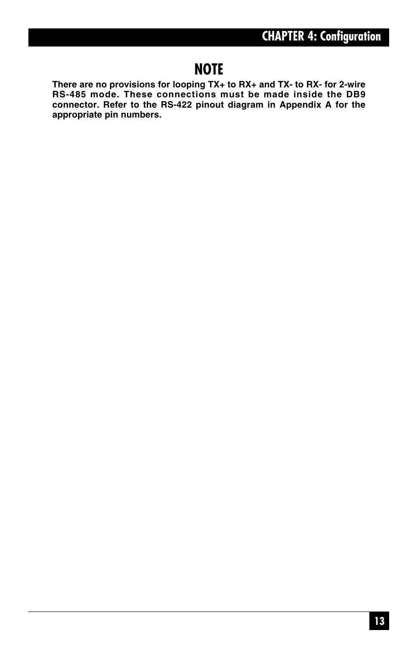## **NOTE**

**There are no provisions for looping TX+ to RX+ and TX- to RX- for 2-wire RS-485 mode. These connections must be made inside the DB9 connector. Refer to the RS-422 pinout diagram in Appendix A for the appropriate pin numbers.**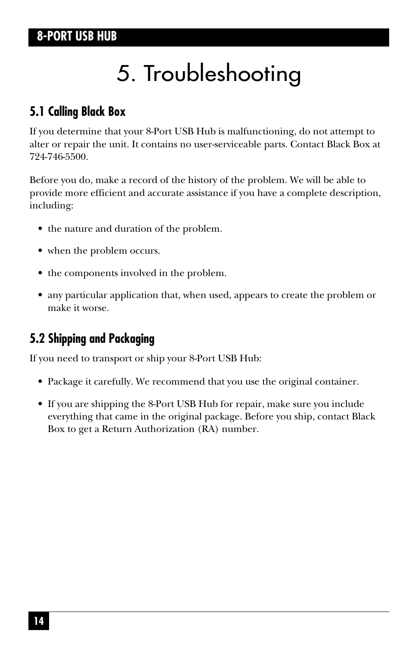# 5. Troubleshooting

## **5.1 Calling Black Box**

If you determine that your 8-Port USB Hub is malfunctioning, do not attempt to alter or repair the unit. It contains no user-serviceable parts. Contact Black Box at 724-746-5500.

Before you do, make a record of the history of the problem. We will be able to provide more efficient and accurate assistance if you have a complete description, including:

- the nature and duration of the problem.
- when the problem occurs.
- the components involved in the problem.
- any particular application that, when used, appears to create the problem or make it worse.

## **5.2 Shipping and Packaging**

If you need to transport or ship your 8-Port USB Hub:

- Package it carefully. We recommend that you use the original container.
- If you are shipping the 8-Port USB Hub for repair, make sure you include everything that came in the original package. Before you ship, contact Black Box to get a Return Authorization (RA) number.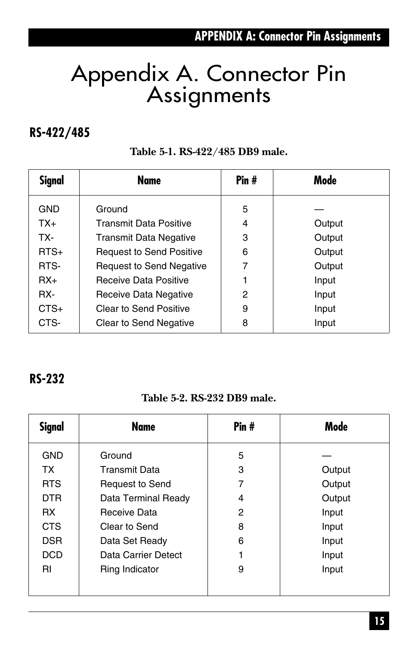## **APPENDIX A: Connector Pin Assignments**

## Appendix A. Connector Pin Assignments

### **RS-422/485**

#### **Table 5-1. RS-422/485 DB9 male.**

| <b>Signal</b> | Name                            | Pin# | Mode   |
|---------------|---------------------------------|------|--------|
| <b>GND</b>    | Ground                          | 5    |        |
| $TX_{+}$      | <b>Transmit Data Positive</b>   | 4    | Output |
| TX-           | <b>Transmit Data Negative</b>   | 3    | Output |
| $RTS+$        | <b>Request to Send Positive</b> | 6    | Output |
| RTS-          | <b>Request to Send Negative</b> | 7    | Output |
| $RX+$         | Receive Data Positive           |      | Input  |
| RX-           | Receive Data Negative           | 2    | Input  |
| $CTS+$        | Clear to Send Positive          | 9    | Input  |
| CTS-          | <b>Clear to Send Negative</b>   | 8    | Input  |

#### **RS-232**

#### **Table 5-2. RS-232 DB9 male.**

| <b>Signal</b> | <b>Name</b>            | Pin# | Mode   |
|---------------|------------------------|------|--------|
| <b>GND</b>    | Ground                 | 5    |        |
| <b>TX</b>     | <b>Transmit Data</b>   | 3    | Output |
| <b>RTS</b>    | <b>Request to Send</b> | 7    | Output |
| <b>DTR</b>    | Data Terminal Ready    | 4    | Output |
| RX.           | Receive Data           | 2    | Input  |
| <b>CTS</b>    | Clear to Send          | 8    | Input  |
| <b>DSR</b>    | Data Set Ready         | 6    | Input  |
| DCD           | Data Carrier Detect    |      | Input  |
| <b>RI</b>     | Ring Indicator         | 9    | Input  |
|               |                        |      |        |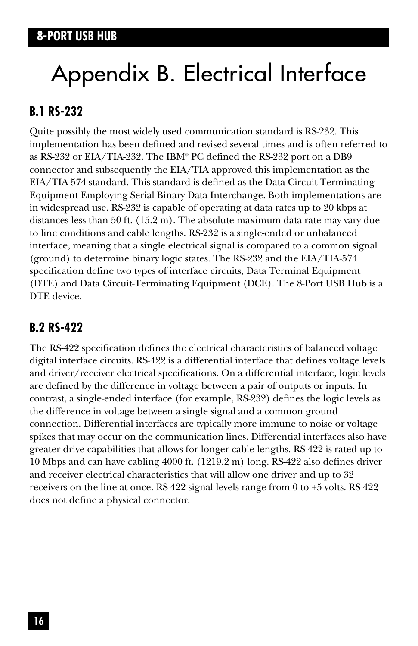# Appendix B. Electrical Interface

## **B.1 RS-232**

Quite possibly the most widely used communication standard is RS-232. This implementation has been defined and revised several times and is often referred to as RS-232 or EIA/TIA-232. The IBM® PC defined the RS-232 port on a DB9 connector and subsequently the EIA/TIA approved this implementation as the EIA/TIA-574 standard. This standard is defined as the Data Circuit-Terminating Equipment Employing Serial Binary Data Interchange. Both implementations are in widespread use. RS-232 is capable of operating at data rates up to 20 kbps at distances less than 50 ft. (15.2 m). The absolute maximum data rate may vary due to line conditions and cable lengths. RS-232 is a single-ended or unbalanced interface, meaning that a single electrical signal is compared to a common signal (ground) to determine binary logic states. The RS-232 and the EIA/TIA-574 specification define two types of interface circuits, Data Terminal Equipment (DTE) and Data Circuit-Terminating Equipment (DCE). The 8-Port USB Hub is a DTE device.

## **B.2 RS-422**

The RS-422 specification defines the electrical characteristics of balanced voltage digital interface circuits. RS-422 is a differential interface that defines voltage levels and driver/receiver electrical specifications. On a differential interface, logic levels are defined by the difference in voltage between a pair of outputs or inputs. In contrast, a single-ended interface (for example, RS-232) defines the logic levels as the difference in voltage between a single signal and a common ground connection. Differential interfaces are typically more immune to noise or voltage spikes that may occur on the communication lines. Differential interfaces also have greater drive capabilities that allows for longer cable lengths. RS-422 is rated up to 10 Mbps and can have cabling 4000 ft. (1219.2 m) long. RS-422 also defines driver and receiver electrical characteristics that will allow one driver and up to 32 receivers on the line at once. RS-422 signal levels range from 0 to +5 volts. RS-422 does not define a physical connector.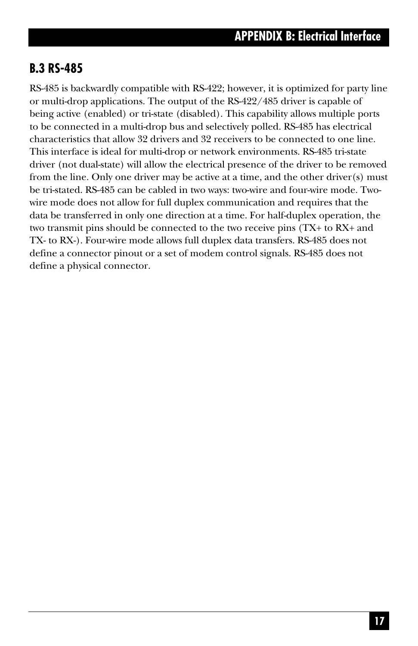## **B.3 RS-485**

RS-485 is backwardly compatible with RS-422; however, it is optimized for party line or multi-drop applications. The output of the RS-422/485 driver is capable of being active (enabled) or tri-state (disabled). This capability allows multiple ports to be connected in a multi-drop bus and selectively polled. RS-485 has electrical characteristics that allow 32 drivers and 32 receivers to be connected to one line. This interface is ideal for multi-drop or network environments. RS-485 tri-state driver (not dual-state) will allow the electrical presence of the driver to be removed from the line. Only one driver may be active at a time, and the other driver(s) must be tri-stated. RS-485 can be cabled in two ways: two-wire and four-wire mode. Twowire mode does not allow for full duplex communication and requires that the data be transferred in only one direction at a time. For half-duplex operation, the two transmit pins should be connected to the two receive pins (TX+ to RX+ and TX- to RX-). Four-wire mode allows full duplex data transfers. RS-485 does not define a connector pinout or a set of modem control signals. RS-485 does not define a physical connector.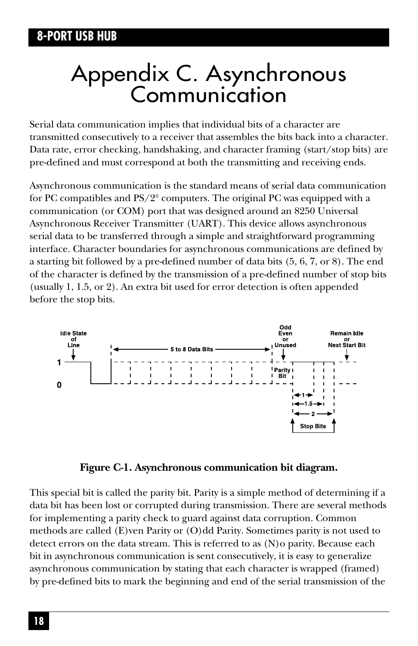## Appendix C. Asynchronous **Communication**

Serial data communication implies that individual bits of a character are transmitted consecutively to a receiver that assembles the bits back into a character. Data rate, error checking, handshaking, and character framing (start/stop bits) are pre-defined and must correspond at both the transmitting and receiving ends.

Asynchronous communication is the standard means of serial data communication for PC compatibles and PS/2® computers. The original PC was equipped with a communication (or COM) port that was designed around an 8250 Universal Asynchronous Receiver Transmitter (UART). This device allows asynchronous serial data to be transferred through a simple and straightforward programming interface. Character boundaries for asynchronous communications are defined by a starting bit followed by a pre-defined number of data bits (5, 6, 7, or 8). The end of the character is defined by the transmission of a pre-defined number of stop bits (usually 1, 1.5, or 2). An extra bit used for error detection is often appended before the stop bits.





This special bit is called the parity bit. Parity is a simple method of determining if a data bit has been lost or corrupted during transmission. There are several methods for implementing a parity check to guard against data corruption. Common methods are called (E)ven Parity or (O)dd Parity. Sometimes parity is not used to detect errors on the data stream. This is referred to as (N)o parity. Because each bit in asynchronous communication is sent consecutively, it is easy to generalize asynchronous communication by stating that each character is wrapped (framed) by pre-defined bits to mark the beginning and end of the serial transmission of the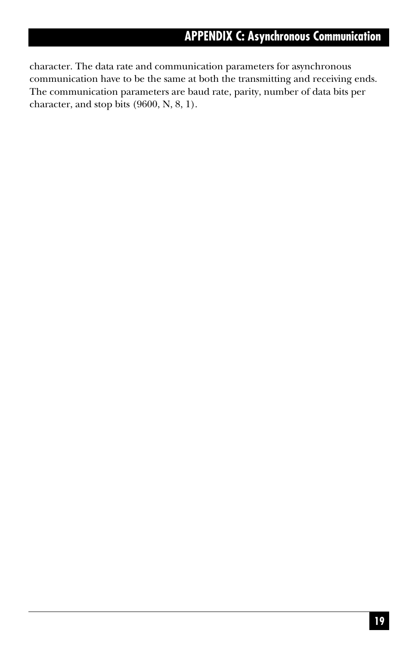### **APPENDIX C: Asynchronous Communication**

character. The data rate and communication parameters for asynchronous communication have to be the same at both the transmitting and receiving ends. The communication parameters are baud rate, parity, number of data bits per character, and stop bits (9600, N, 8, 1).